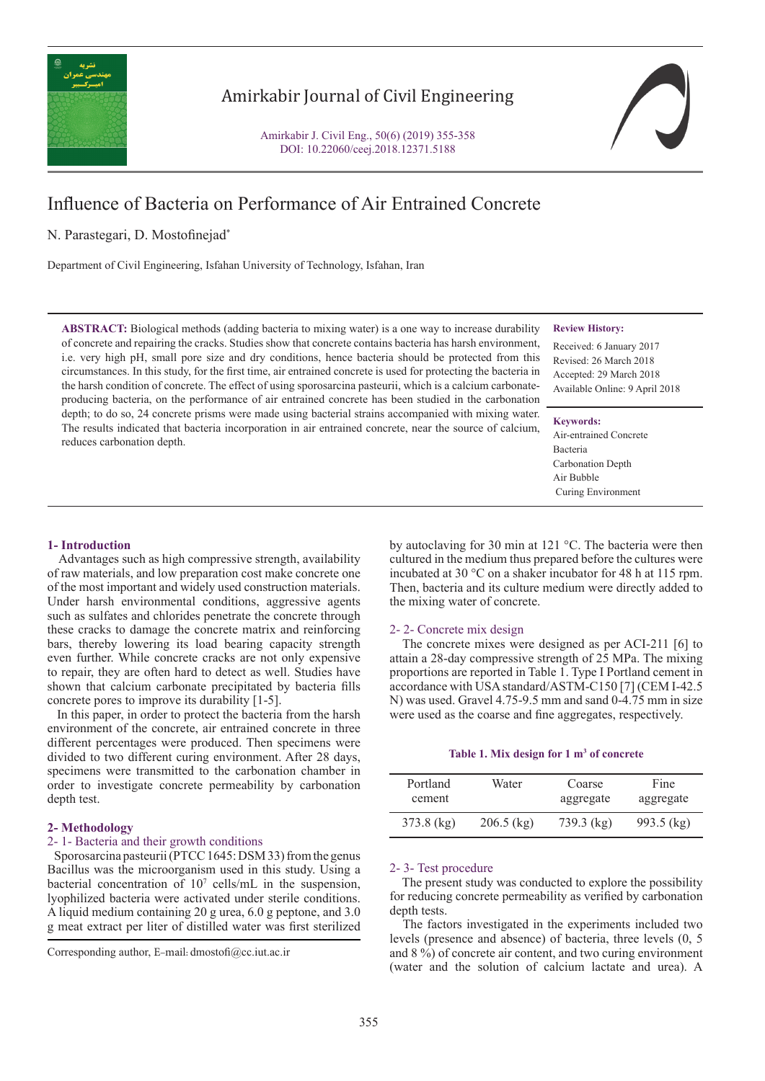

## Amirkabir Journal of Civil Engineering

Amirkabir J. Civil Eng., 50(6) (2019) 355-358 DOI: 10.22060/ceej.2018.12371.5188

# Influence of Bacteria on Performance of Air Entrained Concrete

## N. Parastegari, D. Mostofinejad\*

Department of Civil Engineering, Isfahan University of Technology, Isfahan, Iran

**ABSTRACT:** Biological methods (adding bacteria to mixing water) is a one way to increase durability of concrete and repairing the cracks. Studies show that concrete contains bacteria has harsh environment, i.e. very high pH, small pore size and dry conditions, hence bacteria should be protected from this circumstances. In this study, for the first time, air entrained concrete is used for protecting the bacteria in the harsh condition of concrete. The effect of using sporosarcina pasteurii, which is a calcium carbonateproducing bacteria, on the performance of air entrained concrete has been studied in the carbonation depth; to do so, 24 concrete prisms were made using bacterial strains accompanied with mixing water. The results indicated that bacteria incorporation in air entrained concrete, near the source of calcium, reduces carbonation depth.

## **Review History:**

Received: 6 January 2017 Revised: 26 March 2018 Accepted: 29 March 2018 Available Online: 9 April 2018

#### **Keywords:**

Air-entrained Concrete Bacteria Carbonation Depth Air Bubble Curing Environment

## **1- Introduction**

 Advantages such as high compressive strength, availability of raw materials, and low preparation cost make concrete one of the most important and widely used construction materials. Under harsh environmental conditions, aggressive agents such as sulfates and chlorides penetrate the concrete through these cracks to damage the concrete matrix and reinforcing bars, thereby lowering its load bearing capacity strength even further. While concrete cracks are not only expensive to repair, they are often hard to detect as well. Studies have shown that calcium carbonate precipitated by bacteria fills concrete pores to improve its durability [1-5].

 In this paper, in order to protect the bacteria from the harsh environment of the concrete, air entrained concrete in three different percentages were produced. Then specimens were divided to two different curing environment. After 28 days, specimens were transmitted to the carbonation chamber in order to investigate concrete permeability by carbonation depth test.

## **2- Methodology**

## 2- 1- Bacteria and their growth conditions

 Sporosarcina pasteurii (PTCC 1645: DSM 33) from the genus Bacillus was the microorganism used in this study. Using a bacterial concentration of  $10<sup>7</sup>$  cells/mL in the suspension, lyophilized bacteria were activated under sterile conditions. A liquid medium containing 20 g urea, 6.0 g peptone, and 3.0 g meat extract per liter of distilled water was first sterilized

by autoclaving for 30 min at 121 °C. The bacteria were then cultured in the medium thus prepared before the cultures were incubated at 30 °C on a shaker incubator for 48 h at 115 rpm. Then, bacteria and its culture medium were directly added to the mixing water of concrete.

## 2- 2- Concrete mix design

 The concrete mixes were designed as per ACI-211 [6] to attain a 28-day compressive strength of 25 MPa. The mixing proportions are reported in Table 1. Type I Portland cement in accordance with USA standard/ASTM-C150 [7] (CEM I-42.5 N) was used. Gravel 4.75-9.5 mm and sand 0-4.75 mm in size were used as the coarse and fine aggregates, respectively.

## Table 1. Mix design for 1 m<sup>3</sup> of concrete

| Portland     | Water        | Coarse       | Fine         |
|--------------|--------------|--------------|--------------|
| cement       |              | aggregate    | aggregate    |
| $373.8$ (kg) | $206.5$ (kg) | $739.3$ (kg) | $993.5$ (kg) |

## 2- 3- Test procedure

 The present study was conducted to explore the possibility for reducing concrete permeability as verified by carbonation depth tests.

 The factors investigated in the experiments included two levels (presence and absence) of bacteria, three levels (0, 5 and 8 %) of concrete air content, and two curing environment (water and the solution of calcium lactate and urea). A

Corresponding author, E-mail: dmostofi@cc.iut.ac.ir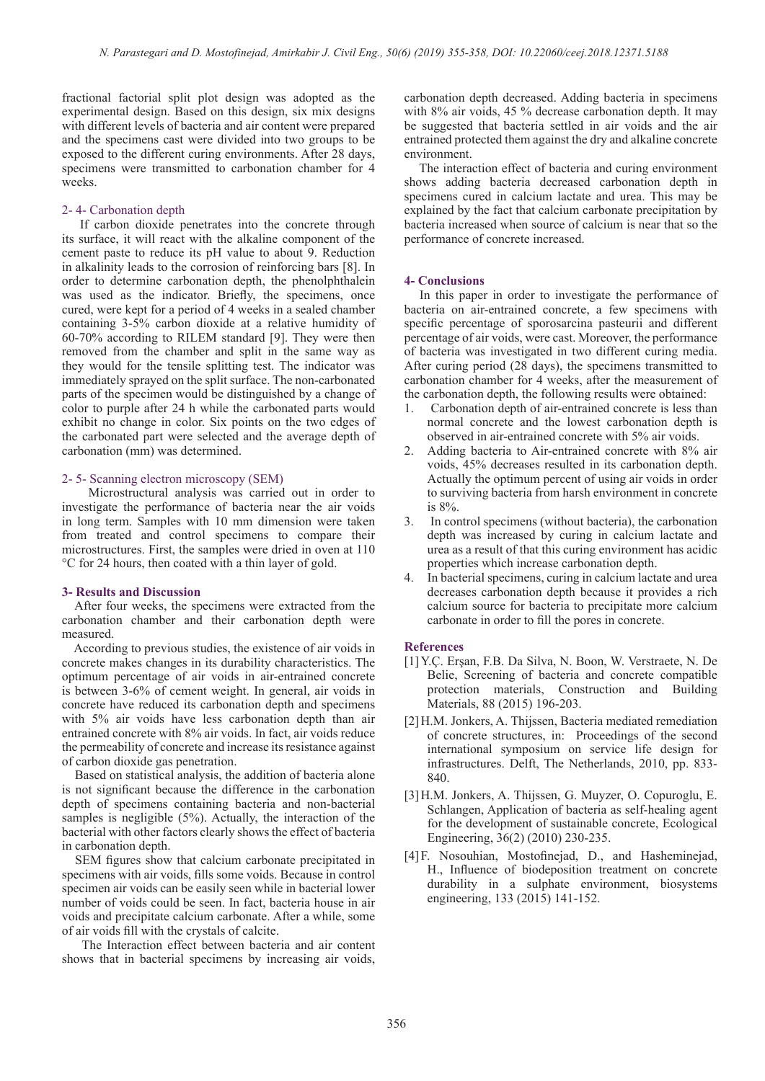fractional factorial split plot design was adopted as the experimental design. Based on this design, six mix designs with different levels of bacteria and air content were prepared and the specimens cast were divided into two groups to be exposed to the different curing environments. After 28 days, specimens were transmitted to carbonation chamber for 4 weeks.

#### 2- 4- Carbonation depth

 If carbon dioxide penetrates into the concrete through its surface, it will react with the alkaline component of the cement paste to reduce its pH value to about 9. Reduction in alkalinity leads to the corrosion of reinforcing bars [8]. In order to determine carbonation depth, the phenolphthalein was used as the indicator. Briefly, the specimens, once cured, were kept for a period of 4 weeks in a sealed chamber containing 3-5% carbon dioxide at a relative humidity of 60-70% according to RILEM standard [9]. They were then removed from the chamber and split in the same way as they would for the tensile splitting test. The indicator was immediately sprayed on the split surface. The non-carbonated parts of the specimen would be distinguished by a change of color to purple after 24 h while the carbonated parts would exhibit no change in color. Six points on the two edges of the carbonated part were selected and the average depth of carbonation (mm) was determined.

## 2- 5- Scanning electron microscopy (SEM)

 Microstructural analysis was carried out in order to investigate the performance of bacteria near the air voids in long term. Samples with 10 mm dimension were taken from treated and control specimens to compare their microstructures. First, the samples were dried in oven at 110 °C for 24 hours, then coated with a thin layer of gold.

#### **3- Results and Discussion**

 After four weeks, the specimens were extracted from the carbonation chamber and their carbonation depth were measured.

 According to previous studies, the existence of air voids in concrete makes changes in its durability characteristics. The optimum percentage of air voids in air-entrained concrete is between 3-6% of cement weight. In general, air voids in concrete have reduced its carbonation depth and specimens with 5% air voids have less carbonation depth than air entrained concrete with 8% air voids. In fact, air voids reduce the permeability of concrete and increase its resistance against of carbon dioxide gas penetration.

 Based on statistical analysis, the addition of bacteria alone is not significant because the difference in the carbonation depth of specimens containing bacteria and non-bacterial samples is negligible (5%). Actually, the interaction of the bacterial with other factors clearly shows the effect of bacteria in carbonation depth.

 SEM figures show that calcium carbonate precipitated in specimens with air voids, fills some voids. Because in control specimen air voids can be easily seen while in bacterial lower number of voids could be seen. In fact, bacteria house in air voids and precipitate calcium carbonate. After a while, some of air voids fill with the crystals of calcite.

 The Interaction effect between bacteria and air content shows that in bacterial specimens by increasing air voids,

carbonation depth decreased. Adding bacteria in specimens with 8% air voids, 45 % decrease carbonation depth. It may be suggested that bacteria settled in air voids and the air entrained protected them against the dry and alkaline concrete environment.

 The interaction effect of bacteria and curing environment shows adding bacteria decreased carbonation depth in specimens cured in calcium lactate and urea. This may be explained by the fact that calcium carbonate precipitation by bacteria increased when source of calcium is near that so the performance of concrete increased.

#### **4- Conclusions**

 In this paper in order to investigate the performance of bacteria on air-entrained concrete, a few specimens with specific percentage of sporosarcina pasteurii and different percentage of air voids, were cast. Moreover, the performance of bacteria was investigated in two different curing media. After curing period (28 days), the specimens transmitted to carbonation chamber for 4 weeks, after the measurement of the carbonation depth, the following results were obtained:

- 1. Carbonation depth of air-entrained concrete is less than normal concrete and the lowest carbonation depth is observed in air-entrained concrete with 5% air voids.
- 2. Adding bacteria to Air-entrained concrete with 8% air voids, 45% decreases resulted in its carbonation depth. Actually the optimum percent of using air voids in order to surviving bacteria from harsh environment in concrete is 8%.
- 3. In control specimens (without bacteria), the carbonation depth was increased by curing in calcium lactate and urea as a result of that this curing environment has acidic properties which increase carbonation depth.
- 4. In bacterial specimens, curing in calcium lactate and urea decreases carbonation depth because it provides a rich calcium source for bacteria to precipitate more calcium carbonate in order to fill the pores in concrete.

#### **References**

- [1]Y.Ç. Erşan, F.B. Da Silva, N. Boon, W. Verstraete, N. De Belie, Screening of bacteria and concrete compatible protection materials, Construction and Building Materials, 88 (2015) 196-203.
- [2]H.M. Jonkers, A. Thijssen, Bacteria mediated remediation of concrete structures, in: Proceedings of the second international symposium on service life design for infrastructures. Delft, The Netherlands, 2010, pp. 833- 840.
- [3]H.M. Jonkers, A. Thijssen, G. Muyzer, O. Copuroglu, E. Schlangen, Application of bacteria as self-healing agent for the development of sustainable concrete, Ecological Engineering, 36(2) (2010) 230-235.
- [4]F. Nosouhian, Mostofinejad, D., and Hasheminejad, H., Influence of biodeposition treatment on concrete durability in a sulphate environment, biosystems engineering, 133 (2015) 141-152.